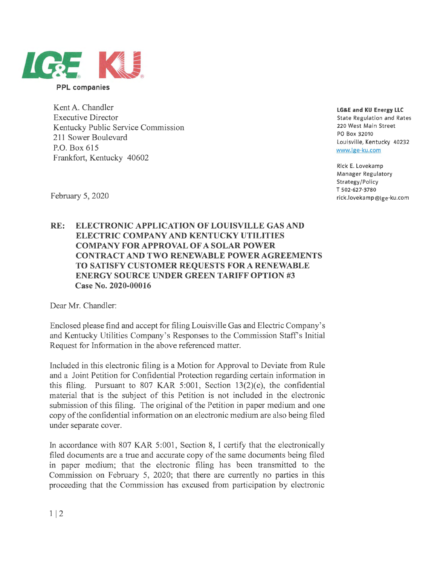

Kent A. Chandler Executive Director Kentucky Public Service Commission 211 Sower Boulevard P.O. Box 615 Frankfort, Kentucky 40602

**LG&E and KU Energy LLC** 

State Regulation and Rates 220 West Main Street PO Box 32010 Louisville, Kentucky 40232 www.lge-ku.com

Rick E. Lovekamp Manager Regulatory Strategy/Policy T 502-627-3780 rick.lovekamp@lge-ku.com

February 5, 2020

## **RE: ELECTRONIC APPLICATION OF LOUISVILLE GAS AND ELECTRIC COMPANY AND KENTUCKY UTILITIES COMPANY FOR APPROVAL OF A SOLAR POWER CONTRACT AND TWO RENEWABLE POWER AGREEMENTS TO SATISFY CUSTOMER REQUESTS FORA RENEWABLE ENERGY SOURCE UNDER GREEN TARIFF OPTION #3 Case No. 2020-00016**

Dear Mr. Chandler:

Enclosed please find and accept for filing Louisville Gas and Electric Company's and Kentucky Utilities Company's Responses to the Commission Staffs Initial Request for Information in the above referenced matter.

Included in this electronic filing is a Motion for Approval to Deviate from Rule and a Joint Petition for Confidential Protection regarding certain information in this filing. Pursuant to 807 KAR 5:001, Section 13(2)(e), the confidential material that is the subject of this Petition is not included in the electronic submission of this filing. The original of the Petition in paper medium and one copy of the confidential information on an electronic medium are also being filed under separate cover.

In accordance with 807 KAR 5:001, Section 8, I certify that the electronically filed documents are a true and accurate copy of the same documents being filed **in** paper medium; that the electronic filing has been transmitted to the Commission on February 5, 2020; that there are currently no parties in this proceeding that the Commission has excused from participation by electronic